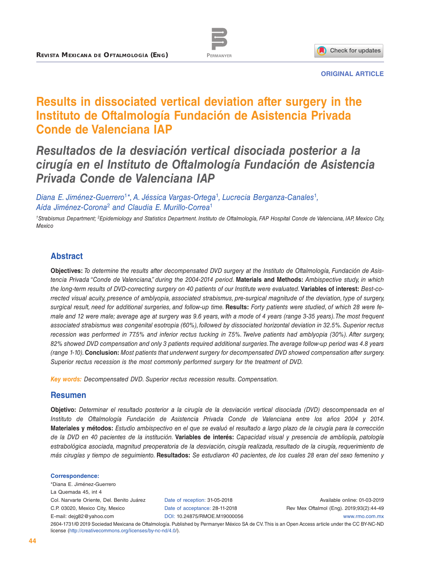



**ORIGINAL ARTICLE**

# **Results in dissociated vertical deviation after surgery in the Instituto de Oftalmología Fundación de Asistencia Privada Conde de Valenciana IAP**

# *Resultados de la desviación vertical disociada posterior a la cirugía en el Instituto de Oftalmología Fundación de Asistencia Privada Conde de Valenciana IAP*

*Diana E. Jiménez-Guerrero*<sup>1</sup>*\*, A. Jéssica Vargas-Ortega*<sup>1</sup>*, Lucrecia Berganza-Canales*<sup>1</sup>*, Aída Jiménez-Corona*<sup>2</sup> *and Claudia E. Murillo-Correa*<sup>1</sup>

*1Strabismus Department; 2Epidemiology and Statistics Department. Instituto de Oftalmología, FAP Hospital Conde de Valenciana, IAP, Mexico City, Mexico*

# **Abstract**

**Objectives:** *To determine the results after decompensated DVD surgery at the Instituto de Oftalmología, Fundación de Asistencia Privada "Conde de Valenciana," during the 2004-2014 period.* **Materials and Methods:** *Ambispective study, in which the long-term results of DVD-correcting surgery on 40 patients of our Institute were evaluated.* **Variables of interest:** *Best-corrected visual acuity, presence of amblyopia, associated strabismus, pre-surgical magnitude of the deviation, type of surgery, surgical result, need for additional surgeries, and follow-up time.* **Results:** *Forty patients were studied, of which 28 were female and 12 were male; average age at surgery was 9.6 years, with a mode of 4 years (range 3-35 years). The most frequent associated strabismus was congenital esotropia (60%), followed by dissociated horizontal deviation in 32.5%. Superior rectus recession was performed in 77.5% and inferior rectus tucking in 7.5%. Twelve patients had amblyopia (30%). After surgery, 82% showed DVD compensation and only 3 patients required additional surgeries. The average follow-up period was 4.8 years (range 1-10).* **Conclusion:** *Most patients that underwent surgery for decompensated DVD showed compensation after surgery. Superior rectus recession is the most commonly performed surgery for the treatment of DVD.*

*Key words: Decompensated DVD. Superior rectus recession results. Compensation.*

#### **Resumen**

**Objetivo:** *Determinar el resultado posterior a la cirugía de la desviación vertical disociada (DVD) descompensada en el Instituto de Oftalmología Fundación de Asistencia Privada Conde de Valenciana entre los años 2004 y 2014.*  **Materiales y métodos:** *Estudio ambispectivo en el que se evaluó el resultado a largo plazo de la cirugía para la corrección de la DVD en 40 pacientes de la institución.* **Variables de interés:** *Capacidad visual y presencia de ambliopía, patología estrabológica asociada, magnitud preoperatoria de la desviación, cirugía realizada, resultado de la cirugía, requerimiento de más cirugías y tiempo de seguimiento.* **Resultados:** *Se estudiaron 40 pacientes, de los cuales 28 eran del sexo femenino y* 

#### **Correspondence:**

\*Diana E. Jiménez-Guerrero La Quemada 45, int 4 Col. Narvarte Oriente, Del. Benito Juárez C.P. 03020, Mexico City, Mexico E-mail: dejg82@yahoo.com

Date of reception: 31-05-2018 Date of acceptance: 28-11-2018 DOI: [10.24875/RMOE.M19](http://dx.doi.org/10.24875/RMOE.M19000056)000056

Available online: 01-03-2019 Rev Mex Oftalmol (Eng). 2019;93(2):44-49

[www.rmo.com.mx](http://www.rmo.com.mx)

2604-1731/© 2019 Sociedad Mexicana de Oftalmología. Published by Permanyer México SA de CV. This is an Open Access article under the CC BY-NC-ND license (<http://creativecommons.org/licenses/by-nc-nd/4.0/>).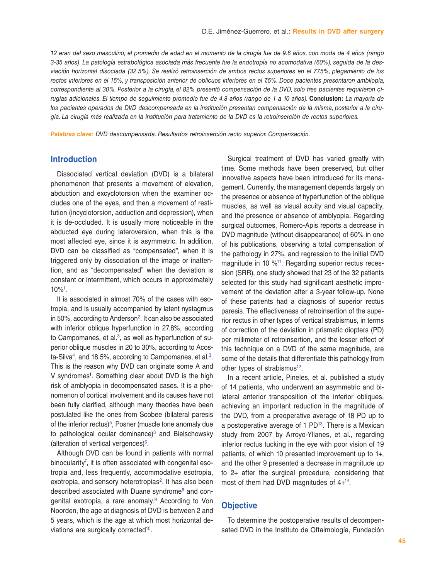*12 eran del sexo masculino; el promedio de edad en el momento de la cirugía fue de 9.6 años, con moda de 4 años (rango 3-35 años). La patología estrabológica asociada más frecuente fue la endotropía no acomodativa (60%), seguida de la desviación horizontal disociada (32.5%). Se realizó retroinserción de ambos rectos superiores en el 77.5%, plegamiento de los rectos inferiores en el 15%, y transposición anterior de oblicuos inferiores en el 7.5%. Doce pacientes presentaron ambliopía, correspondiente al 30%. Posterior a la cirugía, el 82% presentó compensación de la DVD, solo tres pacientes requirieron cirugías adicionales. El tiempo de seguimiento promedio fue de 4.8 años (rango de 1 a 10 años).* **Conclusion:** *La mayoría de los pacientes operados de DVD descompensada en la institución presentan compensación de la misma, posterior a la cirugía. La cirugía más realizada en la institución para tratamiento de la DVD es la retroinserción de rectos superiores.*

*Palabras clave: DVD descompensada. Resultados retroinserción recto superior. Compensación.*

### **Introduction**

Dissociated vertical deviation (DVD) is a bilateral phenomenon that presents a movement of elevation, abduction and excyclotorsion when the examiner occludes one of the eyes, and then a movement of restitution (incyclotorsion, adduction and depression), when it is de-occluded. It is usually more noticeable in the abducted eye during lateroversion, when this is the most affected eye, since it is asymmetric. In addition, DVD can be classified as "compensated", when it is triggered only by dissociation of the image or inattention, and as "decompensated" when the deviation is constant or intermittent, which occurs in approximately  $10\%$ <sup>1</sup>

It is associated in almost 70% of the cases with esotropia, and is usually accompanied by latent nystagmus in 50%, according to Anderson<sup>2</sup>. It can also be associated with inferior oblique hyperfunction in 27.8%, according to Campomanes, et al. $3$ , as well as hyperfunction of superior oblique muscles in 20 to 30%, according to Acosta-Silva<sup>4</sup>, and 18.5%, according to Campomanes, et al.<sup>3</sup>. This is the reason why DVD can originate some A and V syndromes<sup>1</sup>. Something clear about DVD is the high risk of amblyopia in decompensated cases. It is a phenomenon of cortical involvement and its causes have not been fully clarified, although many theories have been postulated like the ones from Scobee (bilateral paresis of the inferior rectus)<sup>[5](#page-5-4)</sup>, Posner (muscle tone anomaly due to pathological ocular dominance) $3$  and Bielschowsky (alteration of vertical vergences[\)6](#page-5-5).

Although DVD can be found in patients with normal binocularity<sup>7</sup>, it is often associated with congenital esotropia and, less frequently, accommodative esotropia, exotropia, and sensory heterotropias<sup>2</sup>. It has also been described associated with Duane syndrome<sup>8</sup> and congenital exotropia, a rare anomaly.<sup>9</sup> According to Von Noorden, the age at diagnosis of DVD is between 2 and 5 years, which is the age at which most horizontal de-viations are surgically corrected<sup>[10](#page-5-9)</sup>.

Surgical treatment of DVD has varied greatly with time. Some methods have been preserved, but other innovative aspects have been introduced for its management. Currently, the management depends largely on the presence or absence of hyperfunction of the oblique muscles, as well as visual acuity and visual capacity, and the presence or absence of amblyopia. Regarding surgical outcomes, Romero-Apis reports a decrease in DVD magnitude (without disappearance) of 60% in one of his publications, observing a total compensation of the pathology in 27%, and regression to the initial DVD magnitude in 10 [%11](#page-5-10). Regarding superior rectus recession (SRR), one study showed that 23 of the 32 patients selected for this study had significant aesthetic improvement of the deviation after a 3-year follow-up. None of these patients had a diagnosis of superior rectus paresis. The effectiveness of retroinsertion of the superior rectus in other types of vertical strabismus, in terms of correction of the deviation in prismatic diopters (PD) per millimeter of retroinsertion, and the lesser effect of this technique on a DVD of the same magnitude, are some of the details that differentiate this pathology from other types of strabismus $12$ .

In a recent article, Pineles, et al. published a study of 14 patients, who underwent an asymmetric and bilateral anterior transposition of the inferior obliques, achieving an important reduction in the magnitude of the DVD, from a preoperative average of 18 PD up to a postoperative average of  $1$  PD<sup>13</sup>. There is a Mexican study from 2007 by Arroyo-Yllanes, et al., regarding inferior rectus tucking in the eye with poor vision of 19 patients, of which 10 presented improvement up to 1+, and the other 9 presented a decrease in magnitude up to 2+ after the surgical procedure, considering that most of them had DVD magnitudes of  $4+^{14}$ .

#### **Objective**

To determine the postoperative results of decompensated DVD in the Instituto de Oftalmología, Fundación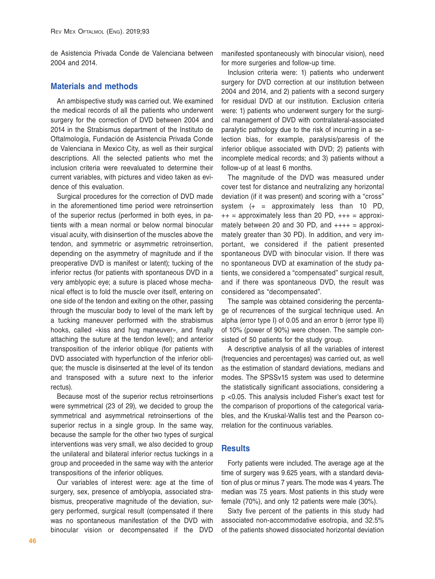de Asistencia Privada Conde de Valenciana between 2004 and 2014.

# **Materials and methods**

An ambispective study was carried out. We examined the medical records of all the patients who underwent surgery for the correction of DVD between 2004 and 2014 in the Strabismus department of the Instituto de Oftalmología, Fundación de Asistencia Privada Conde de Valenciana in Mexico City, as well as their surgical descriptions. All the selected patients who met the inclusion criteria were reevaluated to determine their current variables, with pictures and video taken as evidence of this evaluation.

Surgical procedures for the correction of DVD made in the aforementioned time period were retroinsertion of the superior rectus (performed in both eyes, in patients with a mean normal or below normal binocular visual acuity, with disinsertion of the muscles above the tendon, and symmetric or asymmetric retroinsertion, depending on the asymmetry of magnitude and if the preoperative DVD is manifest or latent); tucking of the inferior rectus (for patients with spontaneous DVD in a very amblyopic eye; a suture is placed whose mechanical effect is to fold the muscle over itself, entering on one side of the tendon and exiting on the other, passing through the muscular body to level of the mark left by a tucking maneuver performed with the strabismus hooks, called «kiss and hug maneuver», and finally attaching the suture at the tendon level); and anterior transposition of the inferior oblique (for patients with DVD associated with hyperfunction of the inferior oblique; the muscle is disinserted at the level of its tendon and transposed with a suture next to the inferior rectus).

Because most of the superior rectus retroinsertions were symmetrical (23 of 29), we decided to group the symmetrical and asymmetrical retroinsertions of the superior rectus in a single group. In the same way, because the sample for the other two types of surgical interventions was very small, we also decided to group the unilateral and bilateral inferior rectus tuckings in a group and proceeded in the same way with the anterior transpositions of the inferior obliques.

Our variables of interest were: age at the time of surgery, sex, presence of amblyopia, associated strabismus, preoperative magnitude of the deviation, surgery performed, surgical result (compensated if there was no spontaneous manifestation of the DVD with binocular vision or decompensated if the DVD

manifested spontaneously with binocular vision), need for more surgeries and follow-up time.

Inclusion criteria were: 1) patients who underwent surgery for DVD correction at our institution between 2004 and 2014, and 2) patients with a second surgery for residual DVD at our institution. Exclusion criteria were: 1) patients who underwent surgery for the surgical management of DVD with contralateral-associated paralytic pathology due to the risk of incurring in a selection bias, for example, paralysis/paresis of the inferior oblique associated with DVD; 2) patients with incomplete medical records; and 3) patients without a follow-up of at least 6 months.

The magnitude of the DVD was measured under cover test for distance and neutralizing any horizontal deviation (if it was present) and scoring with a "cross" system  $(+ =$  approximately less than 10 PD,  $++$  = approximately less than 20 PD,  $++$  = approximately between 20 and 30 PD, and  $+++ =$  approximately greater than 30 PD). In addition, and very important, we considered if the patient presented spontaneous DVD with binocular vision. If there was no spontaneous DVD at examination of the study patients, we considered a "compensated" surgical result, and if there was spontaneous DVD, the result was considered as "decompensated".

The sample was obtained considering the percentage of recurrences of the surgical technique used. An alpha (error type I) of 0.05 and an error b (error type II) of 10% (power of 90%) were chosen. The sample consisted of 50 patients for the study group.

A descriptive analysis of all the variables of interest (frequencies and percentages) was carried out, as well as the estimation of standard deviations, medians and modes. The SPSSv15 system was used to determine the statistically significant associations, considering a p <0.05. This analysis included Fisher's exact test for the comparison of proportions of the categorical variables, and the Kruskal-Wallis test and the Pearson correlation for the continuous variables.

# **Results**

Forty patients were included. The average age at the time of surgery was 9.625 years, with a standard deviation of plus or minus 7 years. The mode was 4 years. The median was 7.5 years. Most patients in this study were female (70%), and only 12 patients were male (30%).

Sixty five percent of the patients in this study had associated non-accommodative esotropia, and 32.5% of the patients showed dissociated horizontal deviation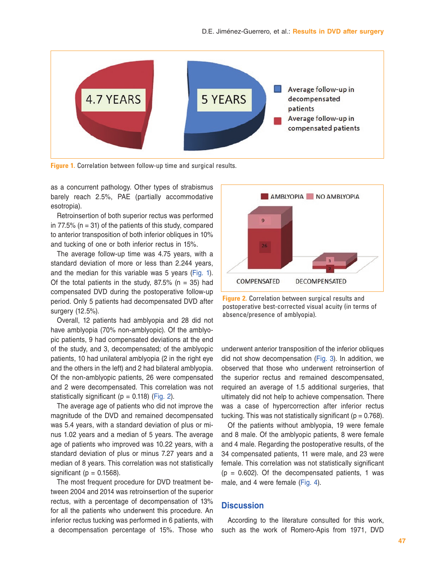

**Figure 1.** Correlation between follow-up time and surgical results.

as a concurrent pathology. Other types of strabismus barely reach 2.5%, PAE (partially accommodative esotropia).

Retroinsertion of both superior rectus was performed in 77.5% ( $n = 31$ ) of the patients of this study, compared to anterior transposition of both inferior obliques in 10% and tucking of one or both inferior rectus in 15%.

The average follow-up time was 4.75 years, with a standard deviation of more or less than 2.244 years, and the median for this variable was 5 years (Fig. 1). Of the total patients in the study,  $87.5\%$  (n = 35) had compensated DVD during the postoperative follow-up period. Only 5 patients had decompensated DVD after surgery (12.5%).

Overall, 12 patients had amblyopia and 28 did not have amblyopia (70% non-amblyopic). Of the amblyopic patients, 9 had compensated deviations at the end of the study, and 3, decompensated; of the amblyopic patients, 10 had unilateral amblyopia (2 in the right eye and the others in the left) and 2 had bilateral amblyopia. Of the non-amblyopic patients, 26 were compensated and 2 were decompensated. This correlation was not statistically significant ( $p = 0.118$ ) (Fig. 2).

The average age of patients who did not improve the magnitude of the DVD and remained decompensated was 5.4 years, with a standard deviation of plus or minus 1.02 years and a median of 5 years. The average age of patients who improved was 10.22 years, with a standard deviation of plus or minus 7.27 years and a median of 8 years. This correlation was not statistically significant ( $p = 0.1568$ ).

The most frequent procedure for DVD treatment between 2004 and 2014 was retroinsertion of the superior rectus, with a percentage of decompensation of 13% for all the patients who underwent this procedure. An inferior rectus tucking was performed in 6 patients, with a decompensation percentage of 15%. Those who



**Figure 2.** Correlation between surgical results and postoperative best-corrected visual acuity (in terms of absence/presence of amblyopia).

underwent anterior transposition of the inferior obliques did not show decompensation [\(Fig. 3\)](#page-4-0). In addition, we observed that those who underwent retroinsertion of the superior rectus and remained descompensated, required an average of 1.5 additional surgeries, that ultimately did not help to achieve compensation. There was a case of hypercorrection after inferior rectus tucking. This was not statistically significant ( $p = 0.768$ ).

Of the patients without amblyopia, 19 were female and 8 male. Of the amblyopic patients, 8 were female and 4 male. Regarding the postoperative results, of the 34 compensated patients, 11 were male, and 23 were female. This correlation was not statistically significant  $(p = 0.602)$ . Of the decompensated patients, 1 was male, and 4 were female ([Fig. 4\)](#page-4-0).

# **Discussion**

According to the literature consulted for this work, such as the work of Romero-Apis from 1971, DVD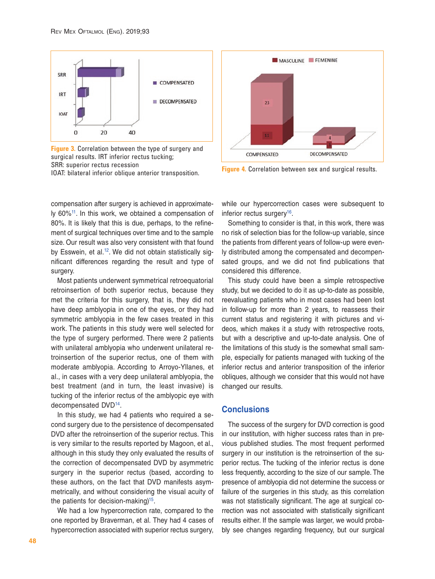<span id="page-4-0"></span>![](_page_4_Figure_1.jpeg)

**Figure 3.** Correlation between the type of surgery and surgical results. IRT inferior rectus tucking; SRR: superior rectus recession IOAT: bilateral inferior oblique anterior transposition. **Figure 4.** Correlation between sex and surgical results.

compensation after surgery is achieved in approximately 60%[11.](#page-5-10) In this work, we obtained a compensation of 80%. It is likely that this is due, perhaps, to the refinement of surgical techniques over time and to the sample size. Our result was also very consistent with that found by Esswein, et al.<sup>[12](#page-5-11)</sup>. We did not obtain statistically significant differences regarding the result and type of surgery.

Most patients underwent symmetrical retroequatorial retroinsertion of both superior rectus, because they met the criteria for this surgery, that is, they did not have deep amblyopia in one of the eyes, or they had symmetric amblyopia in the few cases treated in this work. The patients in this study were well selected for the type of surgery performed. There were 2 patients with unilateral amblyopia who underwent unilateral retroinsertion of the superior rectus, one of them with moderate amblyopia. According to Arroyo-Yllanes, et al., in cases with a very deep unilateral amblyopia, the best treatment (and in turn, the least invasive) is tucking of the inferior rectus of the amblyopic eye with decompensated DVD[14](#page-5-13).

In this study, we had 4 patients who required a second surgery due to the persistence of decompensated DVD after the retroinsertion of the superior rectus. This is very similar to the results reported by Magoon, et al., although in this study they only evaluated the results of the correction of decompensated DVD by asymmetric surgery in the superior rectus (based, according to these authors, on the fact that DVD manifests asymmetrically, and without considering the visual acuity of the patients for decision-making)<sup>15</sup>.

We had a low hypercorrection rate, compared to the one reported by Braverman, et al. They had 4 cases of hypercorrection associated with superior rectus surgery,

![](_page_4_Figure_7.jpeg)

while our hypercorrection cases were subsequent to inferior rectus surgery<sup>[16](#page-5-15)</sup>.

Something to consider is that, in this work, there was no risk of selection bias for the follow-up variable, since the patients from different years of follow-up were evenly distributed among the compensated and decompensated groups, and we did not find publications that considered this difference.

This study could have been a simple retrospective study, but we decided to do it as up-to-date as possible, reevaluating patients who in most cases had been lost in follow-up for more than 2 years, to reassess their current status and registering it with pictures and videos, which makes it a study with retrospective roots, but with a descriptive and up-to-date analysis. One of the limitations of this study is the somewhat small sample, especially for patients managed with tucking of the inferior rectus and anterior transposition of the inferior obliques, although we consider that this would not have changed our results.

### **Conclusions**

The success of the surgery for DVD correction is good in our institution, with higher success rates than in previous published studies. The most frequent performed surgery in our institution is the retroinsertion of the superior rectus. The tucking of the inferior rectus is done less frequently, according to the size of our sample. The presence of amblyopia did not determine the success or failure of the surgeries in this study, as this correlation was not statistically significant. The age at surgical correction was not associated with statistically significant results either. If the sample was larger, we would probably see changes regarding frequency, but our surgical